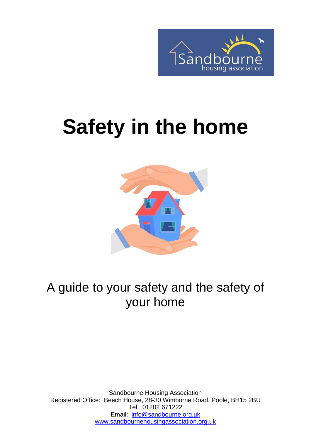

# **Safety in the home**



#### A guide to your safety and the safety of your home

Sandbourne Housing Association Registered Office: Beech House, 28-30 Wimborne Road, Poole, BH15 2BU Tel: 01202 671222 Email: [info@sandbourne.org.uk](mailto:info@sandbourne.org.uk) [www.sandbournehousingassociation.org.uk](http://www.sandbournehousingassociation.org.uk/)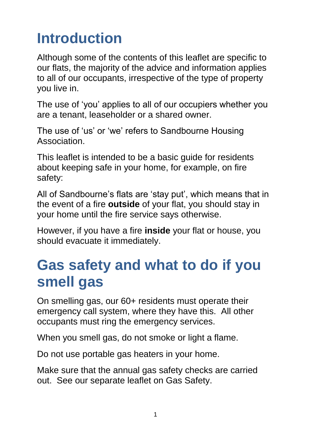#### **Introduction**

Although some of the contents of this leaflet are specific to our flats, the majority of the advice and information applies to all of our occupants, irrespective of the type of property you live in.

The use of 'you' applies to all of our occupiers whether you are a tenant, leaseholder or a shared owner.

The use of 'us' or 'we' refers to Sandbourne Housing **Association** 

This leaflet is intended to be a basic guide for residents about keeping safe in your home, for example, on fire safety:

All of Sandbourne's flats are 'stay put', which means that in the event of a fire **outside** of your flat, you should stay in your home until the fire service says otherwise.

However, if you have a fire **inside** your flat or house, you should evacuate it immediately.

#### **Gas safety and what to do if you smell gas**

On smelling gas, our 60+ residents must operate their emergency call system, where they have this. All other occupants must ring the emergency services.

When you smell gas, do not smoke or light a flame.

Do not use portable gas heaters in your home.

Make sure that the annual gas safety checks are carried out. See our separate leaflet on Gas Safety.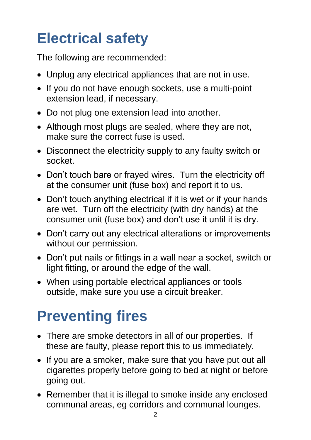## **Electrical safety**

The following are recommended:

- Unplug any electrical appliances that are not in use.
- If you do not have enough sockets, use a multi-point extension lead, if necessary.
- Do not plug one extension lead into another.
- Although most plugs are sealed, where they are not, make sure the correct fuse is used.
- Disconnect the electricity supply to any faulty switch or socket.
- Don't touch bare or frayed wires. Turn the electricity off at the consumer unit (fuse box) and report it to us.
- Don't touch anything electrical if it is wet or if your hands are wet. Turn off the electricity (with dry hands) at the consumer unit (fuse box) and don't use it until it is dry.
- Don't carry out any electrical alterations or improvements without our permission.
- Don't put nails or fittings in a wall near a socket, switch or light fitting, or around the edge of the wall.
- When using portable electrical appliances or tools outside, make sure you use a circuit breaker.

# **Preventing fires**

- There are smoke detectors in all of our properties. If these are faulty, please report this to us immediately.
- If you are a smoker, make sure that you have put out all cigarettes properly before going to bed at night or before going out.
- Remember that it is illegal to smoke inside any enclosed communal areas, eg corridors and communal lounges.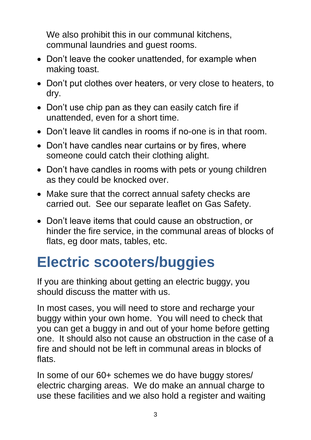We also prohibit this in our communal kitchens, communal laundries and guest rooms.

- Don't leave the cooker unattended, for example when making toast.
- Don't put clothes over heaters, or very close to heaters, to dry.
- Don't use chip pan as they can easily catch fire if unattended, even for a short time.
- Don't leave lit candles in rooms if no-one is in that room.
- Don't have candles near curtains or by fires, where someone could catch their clothing alight.
- Don't have candles in rooms with pets or young children as they could be knocked over.
- Make sure that the correct annual safety checks are carried out. See our separate leaflet on Gas Safety.
- Don't leave items that could cause an obstruction, or hinder the fire service, in the communal areas of blocks of flats, eg door mats, tables, etc.

#### **Electric scooters/buggies**

If you are thinking about getting an electric buggy, you should discuss the matter with us.

In most cases, you will need to store and recharge your buggy within your own home. You will need to check that you can get a buggy in and out of your home before getting one. It should also not cause an obstruction in the case of a fire and should not be left in communal areas in blocks of flats.

In some of our 60+ schemes we do have buggy stores/ electric charging areas. We do make an annual charge to use these facilities and we also hold a register and waiting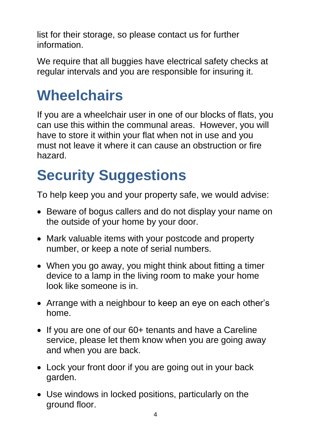list for their storage, so please contact us for further information.

We require that all buggies have electrical safety checks at regular intervals and you are responsible for insuring it.

#### **Wheelchairs**

If you are a wheelchair user in one of our blocks of flats, you can use this within the communal areas. However, you will have to store it within your flat when not in use and you must not leave it where it can cause an obstruction or fire hazard.

# **Security Suggestions**

To help keep you and your property safe, we would advise:

- Beware of bogus callers and do not display your name on the outside of your home by your door.
- Mark valuable items with your postcode and property number, or keep a note of serial numbers.
- When you go away, you might think about fitting a timer device to a lamp in the living room to make your home look like someone is in.
- Arrange with a neighbour to keep an eye on each other's home.
- If you are one of our 60+ tenants and have a Careline service, please let them know when you are going away and when you are back.
- Lock your front door if you are going out in your back garden.
- Use windows in locked positions, particularly on the ground floor.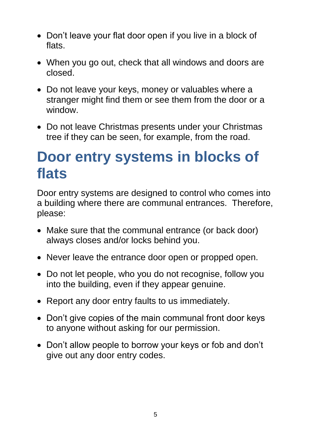- Don't leave your flat door open if you live in a block of flats.
- When you go out, check that all windows and doors are closed.
- Do not leave your keys, money or valuables where a stranger might find them or see them from the door or a window.
- Do not leave Christmas presents under your Christmas tree if they can be seen, for example, from the road.

#### **Door entry systems in blocks of flats**

Door entry systems are designed to control who comes into a building where there are communal entrances. Therefore, please:

- Make sure that the communal entrance (or back door) always closes and/or locks behind you.
- Never leave the entrance door open or propped open.
- Do not let people, who you do not recognise, follow you into the building, even if they appear genuine.
- Report any door entry faults to us immediately.
- Don't give copies of the main communal front door keys to anyone without asking for our permission.
- Don't allow people to borrow your keys or fob and don't give out any door entry codes.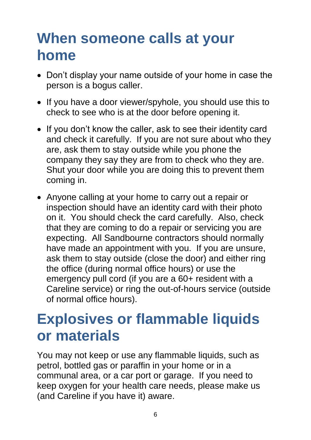#### **When someone calls at your home**

- Don't display your name outside of your home in case the person is a bogus caller.
- If you have a door viewer/spyhole, you should use this to check to see who is at the door before opening it.
- If you don't know the caller, ask to see their identity card and check it carefully. If you are not sure about who they are, ask them to stay outside while you phone the company they say they are from to check who they are. Shut your door while you are doing this to prevent them coming in.
- Anyone calling at your home to carry out a repair or inspection should have an identity card with their photo on it. You should check the card carefully. Also, check that they are coming to do a repair or servicing you are expecting. All Sandbourne contractors should normally have made an appointment with you. If you are unsure, ask them to stay outside (close the door) and either ring the office (during normal office hours) or use the emergency pull cord (if you are a 60+ resident with a Careline service) or ring the out-of-hours service (outside of normal office hours).

#### **Explosives or flammable liquids or materials**

You may not keep or use any flammable liquids, such as petrol, bottled gas or paraffin in your home or in a communal area, or a car port or garage. If you need to keep oxygen for your health care needs, please make us (and Careline if you have it) aware.